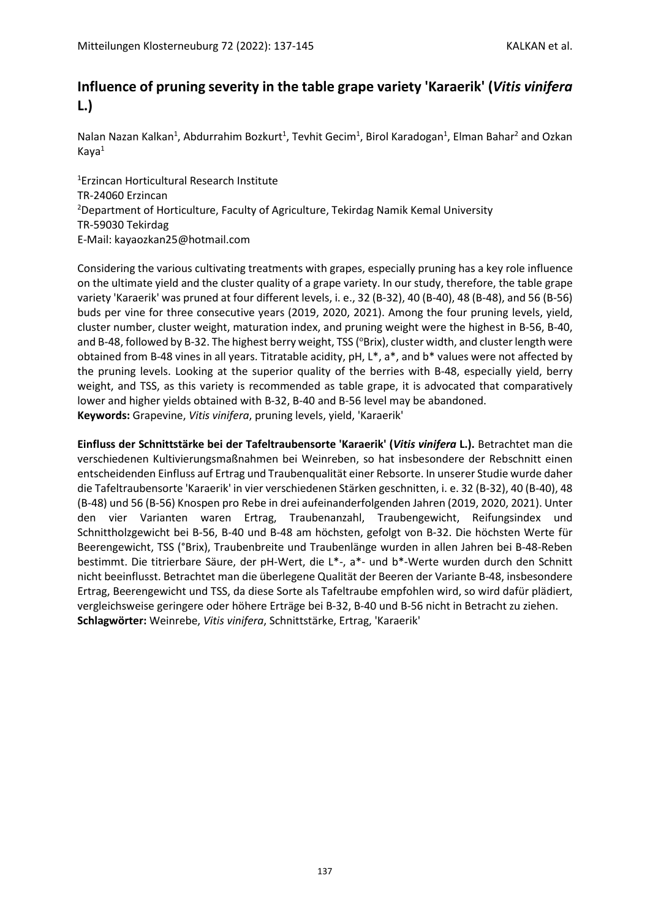# **Influence of pruning severity in the table grape variety 'Karaerik' (***Vitis vinifera* **L.)**

Nalan Nazan Kalkan<sup>1</sup>, Abdurrahim Bozkurt<sup>1</sup>, Tevhit Gecim<sup>1</sup>, Birol Karadogan<sup>1</sup>, Elman Bahar<sup>2</sup> and Ozkan Kaya<sup>1</sup>

<sup>1</sup>Erzincan Horticultural Research Institute TR-24060 Erzincan <sup>2</sup>Department of Horticulture, Faculty of Agriculture, Tekirdag Namik Kemal University TR-59030 Tekirdag E-Mail: kayaozkan25@hotmail.com

Considering the various cultivating treatments with grapes, especially pruning has a key role influence on the ultimate yield and the cluster quality of a grape variety. In our study, therefore, the table grape variety 'Karaerik' was pruned at four different levels, i. e., 32 (B-32), 40 (B-40), 48 (B-48), and 56 (B-56) buds per vine for three consecutive years (2019, 2020, 2021). Among the four pruning levels, yield, cluster number, cluster weight, maturation index, and pruning weight were the highest in B-56, B-40, and B-48, followed by B-32. The highest berry weight, TSS ( $\text{?Brix}$ ), cluster width, and cluster length were obtained from B-48 vines in all years. Titratable acidity, pH, L\*, a\*, and b\* values were not affected by the pruning levels. Looking at the superior quality of the berries with B-48, especially yield, berry weight, and TSS, as this variety is recommended as table grape, it is advocated that comparatively lower and higher yields obtained with B-32, B-40 and B-56 level may be abandoned. **Keywords:** Grapevine, *Vitis vinifera*, pruning levels, yield, 'Karaerik'

**Einfluss der Schnittstärke bei der Tafeltraubensorte 'Karaerik' (***Vitis vinifera* **L.).** Betrachtet man die verschiedenen Kultivierungsmaßnahmen bei Weinreben, so hat insbesondere der Rebschnitt einen entscheidenden Einfluss auf Ertrag und Traubenqualität einer Rebsorte. In unserer Studie wurde daher die Tafeltraubensorte 'Karaerik' in vier verschiedenen Stärken geschnitten, i. e. 32 (B-32), 40 (B-40), 48 (B-48) und 56 (B-56) Knospen pro Rebe in drei aufeinanderfolgenden Jahren (2019, 2020, 2021). Unter den vier Varianten waren Ertrag, Traubenanzahl, Traubengewicht, Reifungsindex und Schnittholzgewicht bei B-56, B-40 und B-48 am höchsten, gefolgt von B-32. Die höchsten Werte für Beerengewicht, TSS (°Brix), Traubenbreite und Traubenlänge wurden in allen Jahren bei B-48-Reben bestimmt. Die titrierbare Säure, der pH-Wert, die L\*-, a\*- und b\*-Werte wurden durch den Schnitt nicht beeinflusst. Betrachtet man die überlegene Qualität der Beeren der Variante B-48, insbesondere Ertrag, Beerengewicht und TSS, da diese Sorte als Tafeltraube empfohlen wird, so wird dafür plädiert, vergleichsweise geringere oder höhere Erträge bei B-32, B-40 und B-56 nicht in Betracht zu ziehen. **Schlagwörter:** Weinrebe, *Vitis vinifera*, Schnittstärke, Ertrag, 'Karaerik'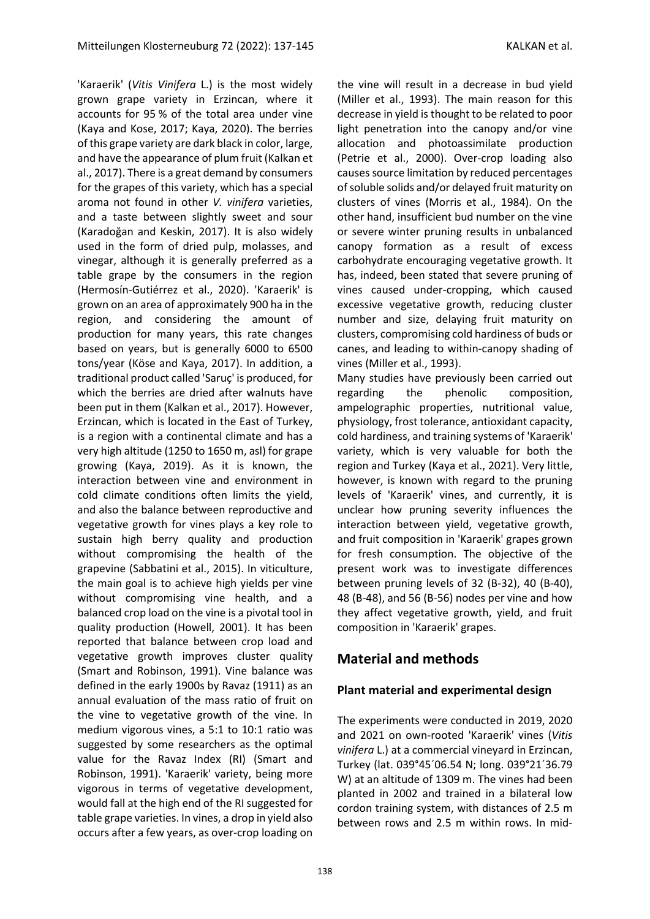'Karaerik' (*Vitis Vinifera* L.) is the most widely grown grape variety in Erzincan, where it accounts for 95 % of the total area under vine (Kaya and Kose, 2017; Kaya, 2020). The berries of this grape variety are dark black in color, large, and have the appearance of plum fruit (Kalkan et al., 2017). There is a great demand by consumers for the grapes of this variety, which has a special aroma not found in other *V. vinifera* varieties, and a taste between slightly sweet and sour (Karadoğan and Keskin, 2017). It is also widely used in the form of dried pulp, molasses, and vinegar, although it is generally preferred as a table grape by the consumers in the region (Hermosín-Gutiérrez et al., 2020). 'Karaerik' is grown on an area of approximately 900 ha in the region, and considering the amount of production for many years, this rate changes based on years, but is generally 6000 to 6500 tons/year (Köse and Kaya, 2017). In addition, a traditional product called 'Saruç' is produced, for which the berries are dried after walnuts have been put in them (Kalkan et al., 2017). However, Erzincan, which is located in the East of Turkey, is a region with a continental climate and has a very high altitude (1250 to 1650 m, asl) for grape growing (Kaya, 2019). As it is known, the interaction between vine and environment in cold climate conditions often limits the yield, and also the balance between reproductive and vegetative growth for vines plays a key role to sustain high berry quality and production without compromising the health of the grapevine (Sabbatini et al., 2015). In viticulture, the main goal is to achieve high yields per vine without compromising vine health, and a balanced crop load on the vine is a pivotal tool in quality production (Howell, 2001). It has been reported that balance between crop load and vegetative growth improves cluster quality (Smart and Robinson, 1991). Vine balance was defined in the early 1900s by Ravaz (1911) as an annual evaluation of the mass ratio of fruit on the vine to vegetative growth of the vine. In medium vigorous vines, a 5:1 to 10:1 ratio was suggested by some researchers as the optimal value for the Ravaz Index (RI) (Smart and Robinson, 1991). 'Karaerik' variety, being more vigorous in terms of vegetative development, would fall at the high end of the RI suggested for table grape varieties. In vines, a drop in yield also occurs after a few years, as over-crop loading on

the vine will result in a decrease in bud yield (Miller et al., 1993). The main reason for this decrease in yield is thought to be related to poor light penetration into the canopy and/or vine allocation and photoassimilate production (Petrie et al., 2000). Over-crop loading also causes source limitation by reduced percentages of soluble solids and/or delayed fruit maturity on clusters of vines (Morris et al., 1984). On the other hand, insufficient bud number on the vine or severe winter pruning results in unbalanced canopy formation as a result of excess carbohydrate encouraging vegetative growth. It has, indeed, been stated that severe pruning of vines caused under-cropping, which caused excessive vegetative growth, reducing cluster number and size, delaying fruit maturity on clusters, compromising cold hardiness of buds or canes, and leading to within-canopy shading of vines (Miller et al., 1993).

Many studies have previously been carried out regarding the phenolic composition, ampelographic properties, nutritional value, physiology, frost tolerance, antioxidant capacity, cold hardiness, and training systems of 'Karaerik' variety, which is very valuable for both the region and Turkey (Kaya et al., 2021). Very little, however, is known with regard to the pruning levels of 'Karaerik' vines, and currently, it is unclear how pruning severity influences the interaction between yield, vegetative growth, and fruit composition in 'Karaerik' grapes grown for fresh consumption. The objective of the present work was to investigate differences between pruning levels of 32 (B-32), 40 (B-40), 48 (B-48), and 56 (B-56) nodes per vine and how they affect vegetative growth, yield, and fruit composition in 'Karaerik' grapes.

## **Material and methods**

#### **Plant material and experimental design**

The experiments were conducted in 2019, 2020 and 2021 on own-rooted 'Karaerik' vines (*Vitis vinifera* L.) at a commercial vineyard in Erzincan, Turkey (lat. 039°45´06.54 N; long. 039°21´36.79 W) at an altitude of 1309 m. The vines had been planted in 2002 and trained in a bilateral low cordon training system, with distances of 2.5 m between rows and 2.5 m within rows. In mid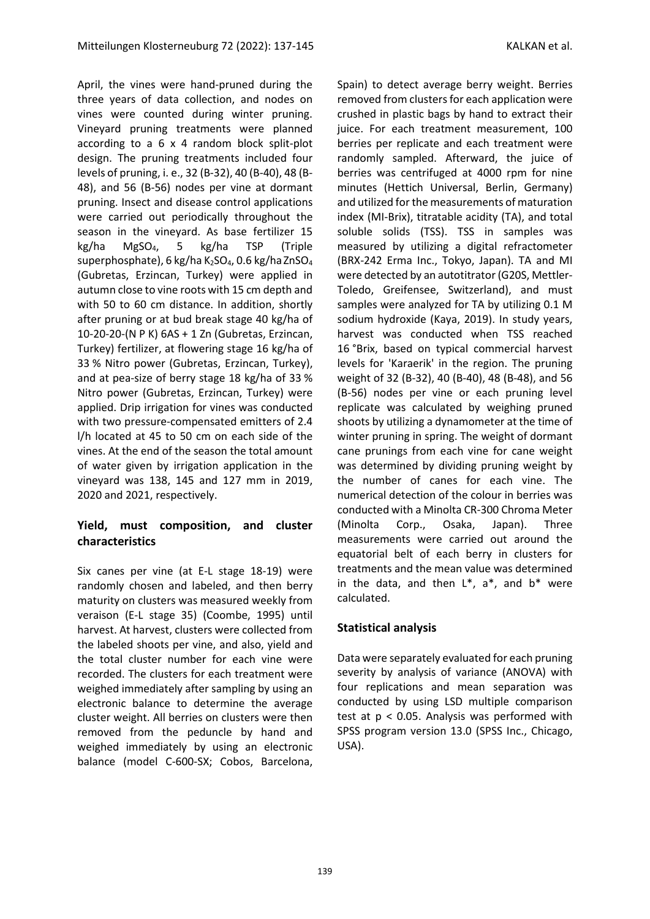April, the vines were hand-pruned during the three years of data collection, and nodes on vines were counted during winter pruning. Vineyard pruning treatments were planned according to a 6 x 4 random block split-plot design. The pruning treatments included four levels of pruning, i. e., 32 (B-32), 40 (B-40), 48 (B-48), and 56 (B-56) nodes per vine at dormant pruning. Insect and disease control applications were carried out periodically throughout the season in the vineyard. As base fertilizer 15 kg/ha MgSO4, 5 kg/ha TSP (Triple superphosphate), 6 kg/ha K<sub>2</sub>SO<sub>4</sub>, 0.6 kg/ha ZnSO<sub>4</sub> (Gubretas, Erzincan, Turkey) were applied in autumn close to vine roots with 15 cm depth and with 50 to 60 cm distance. In addition, shortly after pruning or at bud break stage 40 kg/ha of 10-20-20-(N P K) 6AS + 1 Zn (Gubretas, Erzincan, Turkey) fertilizer, at flowering stage 16 kg/ha of 33 % Nitro power (Gubretas, Erzincan, Turkey), and at pea-size of berry stage 18 kg/ha of 33 % Nitro power (Gubretas, Erzincan, Turkey) were applied. Drip irrigation for vines was conducted with two pressure-compensated emitters of 2.4 l/h located at 45 to 50 cm on each side of the vines. At the end of the season the total amount of water given by irrigation application in the vineyard was 138, 145 and 127 mm in 2019, 2020 and 2021, respectively.

#### **Yield, must composition, and cluster characteristics**

Six canes per vine (at E-L stage 18-19) were randomly chosen and labeled, and then berry maturity on clusters was measured weekly from veraison (E-L stage 35) (Coombe, 1995) until harvest. At harvest, clusters were collected from the labeled shoots per vine, and also, yield and the total cluster number for each vine were recorded. The clusters for each treatment were weighed immediately after sampling by using an electronic balance to determine the average cluster weight. All berries on clusters were then removed from the peduncle by hand and weighed immediately by using an electronic balance (model C-600-SX; Cobos, Barcelona,

Spain) to detect average berry weight. Berries removed from clusters for each application were crushed in plastic bags by hand to extract their juice. For each treatment measurement, 100 berries per replicate and each treatment were randomly sampled. Afterward, the juice of berries was centrifuged at 4000 rpm for nine minutes (Hettich Universal, Berlin, Germany) and utilized for the measurements of maturation index (MI-Brix), titratable acidity (TA), and total soluble solids (TSS). TSS in samples was measured by utilizing a digital refractometer (BRX-242 Erma Inc., Tokyo, Japan). TA and MI were detected by an autotitrator (G20S, Mettler-Toledo, Greifensee, Switzerland), and must samples were analyzed for TA by utilizing 0.1 M sodium hydroxide (Kaya, 2019). In study years, harvest was conducted when TSS reached 16 °Brix, based on typical commercial harvest levels for 'Karaerik' in the region. The pruning weight of 32 (B-32), 40 (B-40), 48 (B-48), and 56 (B-56) nodes per vine or each pruning level replicate was calculated by weighing pruned shoots by utilizing a dynamometer at the time of winter pruning in spring. The weight of dormant cane prunings from each vine for cane weight was determined by dividing pruning weight by the number of canes for each vine. The numerical detection of the colour in berries was conducted with a Minolta CR-300 Chroma Meter (Minolta Corp., Osaka, Japan). Three measurements were carried out around the equatorial belt of each berry in clusters for treatments and the mean value was determined in the data, and then  $L^*$ ,  $a^*$ , and  $b^*$  were calculated.

#### **Statistical analysis**

Data were separately evaluated for each pruning severity by analysis of variance (ANOVA) with four replications and mean separation was conducted by using LSD multiple comparison test at p < 0.05. Analysis was performed with SPSS program version 13.0 (SPSS Inc., Chicago, USA).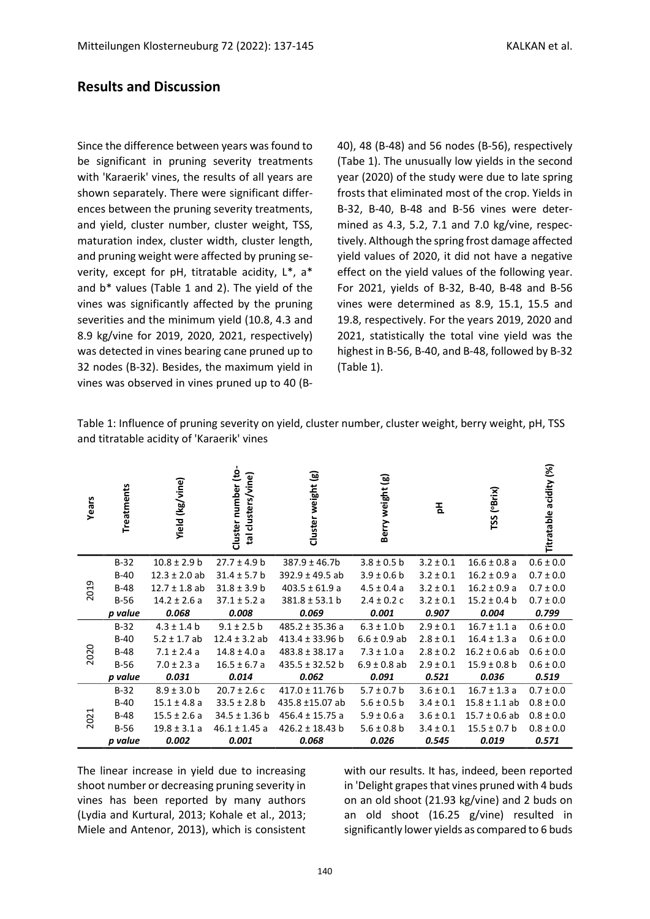### **Results and Discussion**

Since the difference between years was found to be significant in pruning severity treatments with 'Karaerik' vines, the results of all years are shown separately. There were significant differences between the pruning severity treatments, and yield, cluster number, cluster weight, TSS, maturation index, cluster width, cluster length, and pruning weight were affected by pruning severity, except for pH, titratable acidity, L\*, a\* and b\* values (Table 1 and 2). The yield of the vines was significantly affected by the pruning severities and the minimum yield (10.8, 4.3 and 8.9 kg/vine for 2019, 2020, 2021, respectively) was detected in vines bearing cane pruned up to 32 nodes (B-32). Besides, the maximum yield in vines was observed in vines pruned up to 40 (B- 40), 48 (B-48) and 56 nodes (B-56), respectively (Tabe 1). The unusually low yields in the second year (2020) of the study were due to late spring frosts that eliminated most of the crop. Yields in B-32, B-40, B-48 and B-56 vines were determined as 4.3, 5.2, 7.1 and 7.0 kg/vine, respectively. Although the spring frost damage affected yield values of 2020, it did not have a negative effect on the yield values of the following year. For 2021, yields of B-32, B-40, B-48 and B-56 vines were determined as 8.9, 15.1, 15.5 and 19.8, respectively. For the years 2019, 2020 and 2021, statistically the total vine yield was the highest in B-56, B-40, and B-48, followed by B-32 (Table 1).

Table 1: Influence of pruning severity on yield, cluster number, cluster weight, berry weight, pH, TSS and titratable acidity of 'Karaerik' vines

| Years | Treatments | <b>Yield (kg/vine)</b> | Cluster number (to<br>tal clusters/vine) | Cluster weight (g)  | Berry weight (g) | 玉             | TSS (°Brix)       | acidity (%)<br>Titratable |
|-------|------------|------------------------|------------------------------------------|---------------------|------------------|---------------|-------------------|---------------------------|
| 2019  | $B-32$     | $10.8 \pm 2.9$ b       | $27.7 \pm 4.9 b$                         | $387.9 \pm 46.7$ b  | $3.8 \pm 0.5$ b  | $3.2 \pm 0.1$ | $16.6 \pm 0.8$ a  | $0.6 \pm 0.0$             |
|       | $B-40$     | $12.3 \pm 2.0$ ab      | $31.4 \pm 5.7$ b                         | $392.9 \pm 49.5$ ab | $3.9 \pm 0.6$ b  | $3.2 \pm 0.1$ | $16.2 \pm 0.9 a$  | $0.7 \pm 0.0$             |
|       | $B-48$     | $12.7 \pm 1.8$ ab      | $31.8 \pm 3.9$ b                         | 403.5 $\pm$ 61.9 a  | $4.5 \pm 0.4 a$  | $3.2 \pm 0.1$ | $16.2 \pm 0.9 a$  | $0.7 \pm 0.0$             |
|       | $B-56$     | $14.2 \pm 2.6$ a       | $37.1 \pm 5.2 a$                         | $381.8 \pm 53.1$ b  | $2.4 \pm 0.2$ c  | $3.2 \pm 0.1$ | $15.2 \pm 0.4$ b  | $0.7 \pm 0.0$             |
|       | p value    | 0.068                  | 0.008                                    | 0.069               | 0.001            | 0.907         | 0.004             | 0.799                     |
| 2020  | $B-32$     | $4.3 \pm 1.4$ b        | $9.1 \pm 2.5$ b                          | $485.2 \pm 35.36$ a | $6.3 \pm 1.0$ b  | $2.9 \pm 0.1$ | $16.7 \pm 1.1 a$  | $0.6 \pm 0.0$             |
|       | $B-40$     | $5.2 \pm 1.7$ ab       | $12.4 \pm 3.2$ ab                        | $413.4 \pm 33.96$ b | $6.6 \pm 0.9$ ab | $2.8 \pm 0.1$ | $16.4 \pm 1.3$ a  | $0.6 \pm 0.0$             |
|       | $B-48$     | $7.1 \pm 2.4$ a        | $14.8 \pm 4.0 a$                         | $483.8 \pm 38.17$ a | $7.3 \pm 1.0 a$  | $2.8 \pm 0.2$ | $16.2 \pm 0.6$ ab | $0.6 \pm 0.0$             |
|       | $B-56$     | $7.0 \pm 2.3 a$        | $16.5 \pm 6.7$ a                         | $435.5 \pm 32.52 b$ | $6.9 \pm 0.8$ ab | $2.9 \pm 0.1$ | $15.9 \pm 0.8$ b  | $0.6 \pm 0.0$             |
|       | p value    | 0.031                  | 0.014                                    | 0.062               | 0.091            | 0.521         | 0.036             | 0.519                     |
| 2021  | $B-32$     | $8.9 \pm 3.0$ b        | $20.7 \pm 2.6$ c                         | $417.0 \pm 11.76$ b | $5.7 \pm 0.7$ b  | $3.6 \pm 0.1$ | $16.7 \pm 1.3$ a  | $0.7 \pm 0.0$             |
|       | $B-40$     | $15.1 \pm 4.8$ a       | $33.5 \pm 2.8$ b                         | 435.8 ±15.07 ab     | $5.6 \pm 0.5$ b  | $3.4 \pm 0.1$ | $15.8 \pm 1.1$ ab | $0.8 \pm 0.0$             |
|       | $B-48$     | $15.5 \pm 2.6 a$       | $34.5 \pm 1.36$ b                        | $456.4 \pm 15.75$ a | $5.9 \pm 0.6 a$  | $3.6 \pm 0.1$ | $15.7 \pm 0.6$ ab | $0.8 \pm 0.0$             |
|       | $B-56$     | $19.8 \pm 3.1 a$       | $46.1 \pm 1.45$ a                        | $426.2 \pm 18.43$ b | $5.6 \pm 0.8$ b  | $3.4 \pm 0.1$ | $15.5 \pm 0.7$ b  | $0.8 \pm 0.0$             |
|       | p value    | 0.002                  | 0.001                                    | 0.068               | 0.026            | 0.545         | 0.019             | 0.571                     |

The linear increase in yield due to increasing shoot number or decreasing pruning severity in vines has been reported by many authors (Lydia and Kurtural, 2013; Kohale et al., 2013; Miele and Antenor, 2013), which is consistent with our results. It has, indeed, been reported in 'Delight grapes that vines pruned with 4 buds on an old shoot (21.93 kg/vine) and 2 buds on an old shoot (16.25 g/vine) resulted in significantly lower yields as compared to 6 buds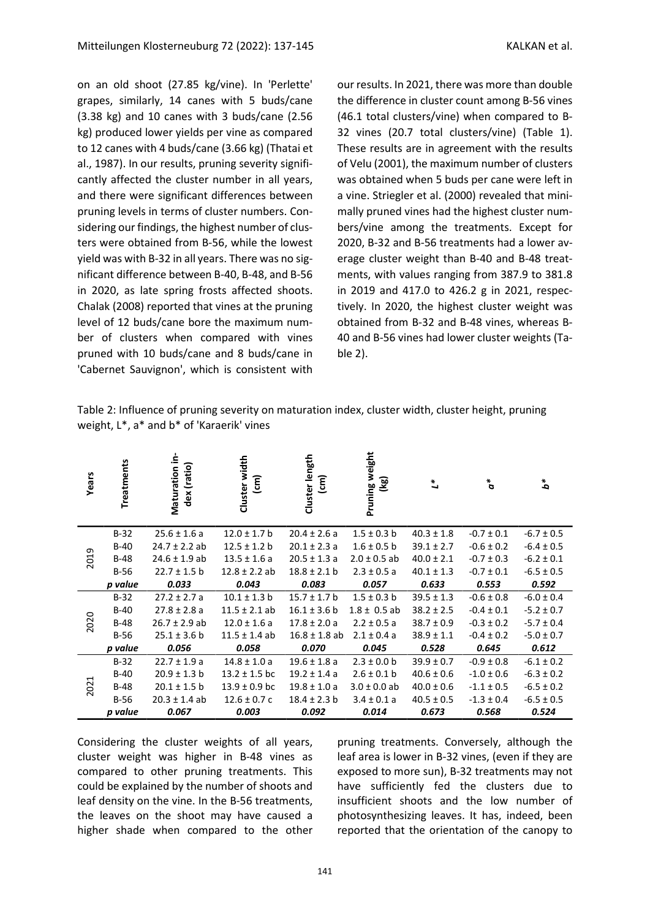on an old shoot (27.85 kg/vine). In 'Perlette' grapes, similarly, 14 canes with 5 buds/cane (3.38 kg) and 10 canes with 3 buds/cane (2.56 kg) produced lower yields per vine as compared to 12 canes with 4 buds/cane (3.66 kg) (Thatai et al., 1987). In our results, pruning severity significantly affected the cluster number in all years, and there were significant differences between pruning levels in terms of cluster numbers. Considering our findings, the highest number of clusters were obtained from B-56, while the lowest yield was with B-32 in all years. There was no significant difference between B-40, B-48, and B-56 in 2020, as late spring frosts affected shoots. Chalak (2008) reported that vines at the pruning level of 12 buds/cane bore the maximum number of clusters when compared with vines pruned with 10 buds/cane and 8 buds/cane in 'Cabernet Sauvignon', which is consistent with

our results. In 2021, there was more than double the difference in cluster count among B-56 vines (46.1 total clusters/vine) when compared to B-32 vines (20.7 total clusters/vine) (Table 1). These results are in agreement with the results of Velu (2001), the maximum number of clusters was obtained when 5 buds per cane were left in a vine. Striegler et al. (2000) revealed that minimally pruned vines had the highest cluster numbers/vine among the treatments. Except for 2020, B-32 and B-56 treatments had a lower average cluster weight than B-40 and B-48 treatments, with values ranging from 387.9 to 381.8 in 2019 and 417.0 to 426.2 g in 2021, respectively. In 2020, the highest cluster weight was obtained from B-32 and B-48 vines, whereas B-40 and B-56 vines had lower cluster weights (Table 2).

Table 2: Influence of pruning severity on maturation index, cluster width, cluster height, pruning weight, L\*, a\* and b\* of 'Karaerik' vines

| Years | Treatments | Maturation in-<br>dex (ratio) | Cluster width<br>$\widehat{\epsilon}$ | Cluster length<br>$\widehat{\epsilon}$ | Pruning weight<br>(kg) | $\mathbf{L}^*$ | $\sigma^*$     | $\boldsymbol{d}^*$ |
|-------|------------|-------------------------------|---------------------------------------|----------------------------------------|------------------------|----------------|----------------|--------------------|
| 2019  | $B-32$     | $25.6 \pm 1.6$ a              | $12.0 \pm 1.7$ b                      | $20.4 \pm 2.6$ a                       | $1.5 \pm 0.3$ b        | $40.3 \pm 1.8$ | $-0.7 \pm 0.1$ | $-6.7 \pm 0.5$     |
|       | $B-40$     | $24.7 \pm 2.2$ ab             | $12.5 \pm 1.2 b$                      | $20.1 \pm 2.3$ a                       | $1.6 \pm 0.5$ b        | $39.1 \pm 2.7$ | $-0.6 \pm 0.2$ | $-6.4 \pm 0.5$     |
|       | $B-48$     | $24.6 \pm 1.9$ ab             | $13.5 \pm 1.6$ a                      | $20.5 \pm 1.3$ a                       | $2.0 \pm 0.5$ ab       | $40.0 \pm 2.1$ | $-0.7 \pm 0.3$ | $-6.2 \pm 0.1$     |
|       | $B-56$     | $22.7 \pm 1.5$ b              | $12.8 \pm 2.2$ ab                     | $18.8 \pm 2.1$ b                       | $2.3 \pm 0.5$ a        | $40.1 \pm 1.3$ | $-0.7 \pm 0.1$ | $-6.5 \pm 0.5$     |
|       | p value    | 0.033                         | 0.043                                 | 0.083                                  | 0.057                  | 0.633          | 0.553          | 0.592              |
| 2020  | $B-32$     | $27.2 \pm 2.7$ a              | $10.1 \pm 1.3$ b                      | $15.7 \pm 1.7$ b                       | $1.5 \pm 0.3$ b        | $39.5 \pm 1.3$ | $-0.6 \pm 0.8$ | $-6.0 \pm 0.4$     |
|       | $B-40$     | $27.8 \pm 2.8$ a              | $11.5 \pm 2.1$ ab                     | $16.1 \pm 3.6$ b                       | $1.8 \pm 0.5$ ab       | $38.2 \pm 2.5$ | $-0.4 \pm 0.1$ | $-5.2 \pm 0.7$     |
|       | $B-48$     | $26.7 \pm 2.9$ ab             | $12.0 \pm 1.6$ a                      | $17.8 \pm 2.0 a$                       | $2.2 \pm 0.5$ a        | $38.7 \pm 0.9$ | $-0.3 \pm 0.2$ | $-5.7 \pm 0.4$     |
|       | $B-56$     | $25.1 \pm 3.6$ b              | $11.5 \pm 1.4$ ab                     | $16.8 \pm 1.8$ ab                      | $2.1 \pm 0.4$ a        | $38.9 \pm 1.1$ | $-0.4 \pm 0.2$ | $-5.0 \pm 0.7$     |
|       | p value    | 0.056                         | 0.058                                 | 0.070                                  | 0.045                  | 0.528          | 0.645          | 0.612              |
| 2021  | $B-32$     | $22.7 \pm 1.9$ a              | $14.8 \pm 1.0 a$                      | $19.6 \pm 1.8$ a                       | $2.3 \pm 0.0$ b        | $39.9 \pm 0.7$ | $-0.9 \pm 0.8$ | $-6.1 \pm 0.2$     |
|       | $B-40$     | $20.9 \pm 1.3$ b              | $13.2 \pm 1.5$ bc                     | $19.2 \pm 1.4$ a                       | $2.6 \pm 0.1$ b        | $40.6 \pm 0.6$ | $-1.0 \pm 0.6$ | $-6.3 \pm 0.2$     |
|       | $B-48$     | $20.1 \pm 1.5$ b              | $13.9 \pm 0.9$ bc                     | $19.8 \pm 1.0 a$                       | $3.0 \pm 0.0$ ab       | $40.0 \pm 0.6$ | $-1.1 \pm 0.5$ | $-6.5 \pm 0.2$     |
|       | $B-56$     | $20.3 \pm 1.4$ ab             | $12.6 \pm 0.7$ c                      | $18.4 \pm 2.3$ b                       | $3.4 \pm 0.1 a$        | $40.5 \pm 0.5$ | $-1.3 \pm 0.4$ | $-6.5 \pm 0.5$     |
|       | p value    | 0.067                         | 0.003                                 | 0.092                                  | 0.014                  | 0.673          | 0.568          | 0.524              |

Considering the cluster weights of all years, cluster weight was higher in B-48 vines as compared to other pruning treatments. This could be explained by the number of shoots and leaf density on the vine. In the B-56 treatments, the leaves on the shoot may have caused a higher shade when compared to the other

pruning treatments. Conversely, although the leaf area is lower in B-32 vines, (even if they are exposed to more sun), B-32 treatments may not have sufficiently fed the clusters due to insufficient shoots and the low number of photosynthesizing leaves. It has, indeed, been reported that the orientation of the canopy to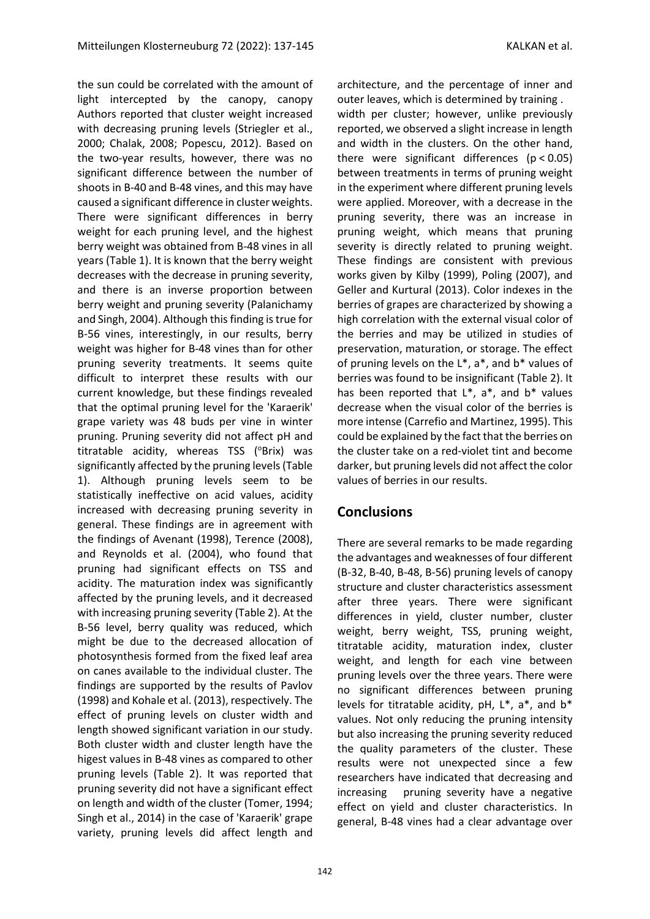the sun could be correlated with the amount of light intercepted by the canopy, canopy Authors reported that cluster weight increased with decreasing pruning levels (Striegler et al., 2000; Chalak, 2008; Popescu, 2012). Based on the two-year results, however, there was no significant difference between the number of shoots in B-40 and B-48 vines, and this may have caused a significant difference in cluster weights. There were significant differences in berry weight for each pruning level, and the highest berry weight was obtained from B-48 vines in all years (Table 1). It is known that the berry weight decreases with the decrease in pruning severity, and there is an inverse proportion between berry weight and pruning severity (Palanichamy and Singh, 2004). Although this finding is true for B-56 vines, interestingly, in our results, berry weight was higher for B-48 vines than for other pruning severity treatments. It seems quite difficult to interpret these results with our current knowledge, but these findings revealed that the optimal pruning level for the 'Karaerik' grape variety was 48 buds per vine in winter pruning. Pruning severity did not affect pH and titratable acidity, whereas TSS (°Brix) was significantly affected by the pruning levels (Table 1). Although pruning levels seem to be statistically ineffective on acid values, acidity increased with decreasing pruning severity in general. These findings are in agreement with the findings of Avenant (1998), Terence (2008), and Reynolds et al. (2004), who found that pruning had significant effects on TSS and acidity. The maturation index was significantly affected by the pruning levels, and it decreased with increasing pruning severity (Table 2). At the B-56 level, berry quality was reduced, which might be due to the decreased allocation of photosynthesis formed from the fixed leaf area on canes available to the individual cluster. The findings are supported by the results of Pavlov (1998) and Kohale et al. (2013), respectively. The effect of pruning levels on cluster width and length showed significant variation in our study. Both cluster width and cluster length have the higest values in B-48 vines as compared to other pruning levels (Table 2). It was reported that pruning severity did not have a significant effect on length and width of the cluster (Tomer, 1994; Singh et al., 2014) in the case of 'Karaerik' grape variety, pruning levels did affect length and

architecture, and the percentage of inner and outer leaves, which is determined by training .

width per cluster; however, unlike previously reported, we observed a slight increase in length and width in the clusters. On the other hand, there were significant differences (p < 0.05) between treatments in terms of pruning weight in the experiment where different pruning levels were applied. Moreover, with a decrease in the pruning severity, there was an increase in pruning weight, which means that pruning severity is directly related to pruning weight. These findings are consistent with previous works given by Kilby (1999), Poling (2007), and Geller and Kurtural (2013). Color indexes in the berries of grapes are characterized by showing a high correlation with the external visual color of the berries and may be utilized in studies of preservation, maturation, or storage. The effect of pruning levels on the L\*, a\*, and b\* values of berries was found to be insignificant (Table 2). It has been reported that  $L^*$ ,  $a^*$ , and  $b^*$  values decrease when the visual color of the berries is more intense (Carrefio and Martinez, 1995). This could be explained by the fact that the berries on the cluster take on a red-violet tint and become darker, but pruning levels did not affect the color values of berries in our results.

#### **Conclusions**

There are several remarks to be made regarding the advantages and weaknesses of four different (B-32, B-40, B-48, B-56) pruning levels of canopy structure and cluster characteristics assessment after three years. There were significant differences in yield, cluster number, cluster weight, berry weight, TSS, pruning weight, titratable acidity, maturation index, cluster weight, and length for each vine between pruning levels over the three years. There were no significant differences between pruning levels for titratable acidity, pH, L\*, a\*, and b\* values. Not only reducing the pruning intensity but also increasing the pruning severity reduced the quality parameters of the cluster. These results were not unexpected since a few researchers have indicated that decreasing and increasing pruning severity have a negative effect on yield and cluster characteristics. In general, B-48 vines had a clear advantage over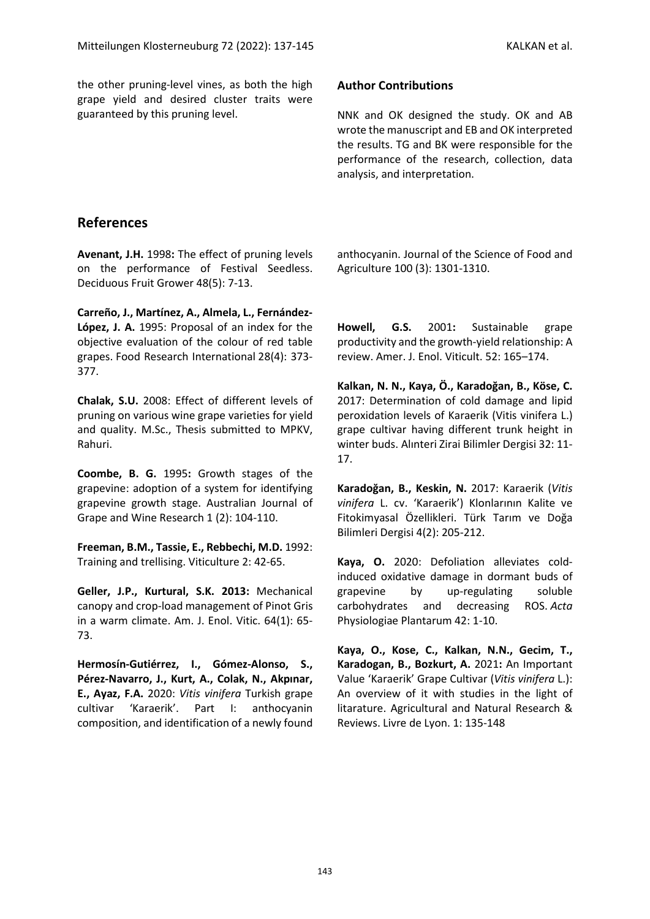the other pruning-level vines, as both the high grape yield and desired cluster traits were guaranteed by this pruning level.

#### **Author Contributions**

NNK and OK designed the study. OK and AB wrote the manuscript and EB and OK interpreted the results. TG and BK were responsible for the performance of the research, collection, data analysis, and interpretation.

### **References**

**Avenant, J.H.** 1998**:** The effect of pruning levels on the performance of Festival Seedless. Deciduous Fruit Grower 48(5): 7-13.

**Carreño, J., Martínez, A., Almela, L., Fernández-López, J. A.** 1995: Proposal of an index for the objective evaluation of the colour of red table grapes. Food Research International 28(4): 373- 377.

**Chalak, S.U.** 2008: Effect of different levels of pruning on various wine grape varieties for yield and quality. M.Sc., Thesis submitted to MPKV, Rahuri.

**Coombe, B. G.** 1995**:** Growth stages of the grapevine: adoption of a system for identifying grapevine growth stage. Australian Journal of Grape and Wine Research 1 (2): 104-110.

**Freeman, B.M., Tassie, E., Rebbechi, M.D.** 1992: Training and trellising. Viticulture 2: 42-65.

**Geller, J.P., Kurtural, S.K. 2013:** Mechanical canopy and crop-load management of Pinot Gris in a warm climate. Am. J. Enol. Vitic. 64(1): 65- 73.

**Hermosín-Gutiérrez, I., Gómez-Alonso, S., Pérez-Navarro, J., Kurt, A., Colak, N., Akpınar, E., Ayaz, F.A.** 2020: *Vitis vinifera* Turkish grape cultivar 'Karaerik'. Part I: anthocyanin composition, and identification of a newly found anthocyanin. Journal of the Science of Food and Agriculture 100 (3): 1301-1310.

**Howell, G.S.** 2001**:** Sustainable grape productivity and the growth-yield relationship: A review. Amer. J. Enol. Viticult. 52: 165–174.

**Kalkan, N. N., Kaya, Ö., Karadoğan, B., Köse, C.**  2017: Determination of cold damage and lipid peroxidation levels of Karaerik (Vitis vinifera L.) grape cultivar having different trunk height in winter buds. Alınteri Zirai Bilimler Dergisi 32: 11- 17.

**Karadoğan, B., Keskin, N.** 2017: Karaerik (*Vitis vinifera* L. cv. 'Karaerik') Klonlarının Kalite ve Fitokimyasal Özellikleri. Türk Tarım ve Doğa Bilimleri Dergisi 4(2): 205-212.

**Kaya, O.** 2020: Defoliation alleviates coldinduced oxidative damage in dormant buds of grapevine by up-regulating soluble carbohydrates and decreasing ROS. *Acta*  Physiologiae Plantarum 42: 1-10.

**Kaya, O., Kose, C., Kalkan, N.N., Gecim, T., Karadogan, B., Bozkurt, A.** 2021**:** An Important Value 'Karaerik' Grape Cultivar (*Vitis vinifera* L.): An overview of it with studies in the light of litarature. Agricultural and Natural Research & Reviews. Livre de Lyon. 1: 135-148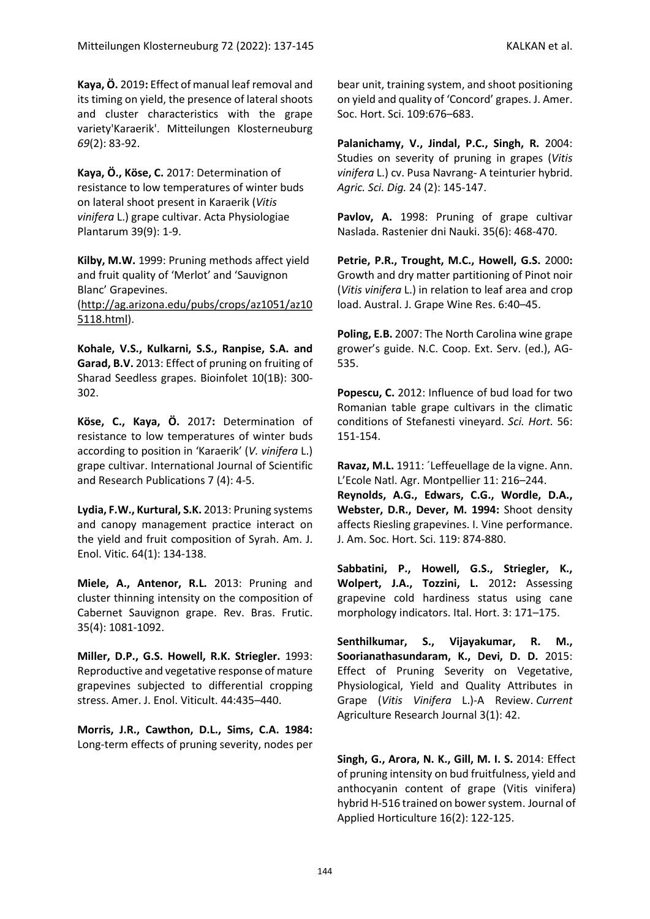**Kaya, Ö.** 2019**:** Effect of manual leaf removal and its timing on yield, the presence of lateral shoots and cluster characteristics with the grape variety'Karaerik'. Mitteilungen Klosterneuburg *69*(2): 83-92.

**Kaya, Ö., Köse, C.** 2017: Determination of resistance to low temperatures of winter buds on lateral shoot present in Karaerik (*Vitis vinifera* L.) grape cultivar. Acta Physiologiae Plantarum 39(9): 1-9.

**Kilby, M.W.** 1999: Pruning methods affect yield and fruit quality of 'Merlot' and 'Sauvignon Blanc' Grapevines. [\(http://ag.arizona.edu/pubs/crops/az1051/az10](http://ag.arizona.edu/pubs/crops/az1051/az105118.html) [5118.html\)](http://ag.arizona.edu/pubs/crops/az1051/az105118.html).

**Kohale, V.S., Kulkarni, S.S., Ranpise, S.A. and Garad, B.V.** 2013: Effect of pruning on fruiting of Sharad Seedless grapes. Bioinfolet 10(1B): 300- 302.

**Köse, C., Kaya, Ö.** 2017**:** Determination of resistance to low temperatures of winter buds according to position in 'Karaerik' (*V. vinifera* L.) grape cultivar. International Journal of Scientific and Research Publications 7 (4): 4-5.

**Lydia, F.W., Kurtural, S.K.** 2013: Pruning systems and canopy management practice interact on the yield and fruit composition of Syrah. Am. J. Enol. Vitic. 64(1): 134-138.

**Miele, A., Antenor, R.L.** 2013: Pruning and cluster thinning intensity on the composition of Cabernet Sauvignon grape. Rev. Bras. Frutic. 35(4): 1081-1092.

**Miller, D.P., G.S. Howell, R.K. Striegler.** 1993: Reproductive and vegetative response of mature grapevines subjected to differential cropping stress. Amer. J. Enol. Viticult. 44:435–440.

**Morris, J.R., Cawthon, D.L., Sims, C.A. 1984:** Long-term effects of pruning severity, nodes per

bear unit, training system, and shoot positioning on yield and quality of 'Concord' grapes. J. Amer. Soc. Hort. Sci. 109:676–683.

**Palanichamy, V., Jindal, P.C., Singh, R.** 2004: Studies on severity of pruning in grapes (*Vitis vinifera* L.) cv. Pusa Navrang- A teinturier hybrid. *Agric. Sci. Dig.* 24 (2): 145-147.

Pavlov, A. 1998: Pruning of grape cultivar Naslada. Rastenier dni Nauki. 35(6): 468-470.

**Petrie, P.R., Trought, M.C., Howell, G.S.** 2000**:** Growth and dry matter partitioning of Pinot noir (*Vitis vinifera* L.) in relation to leaf area and crop load. Austral. J. Grape Wine Res. 6:40–45.

**Poling, E.B.** 2007: The North Carolina wine grape grower's guide. N.C. Coop. Ext. Serv. (ed.), AG-535.

**Popescu, C.** 2012: Influence of bud load for two Romanian table grape cultivars in the climatic conditions of Stefanesti vineyard. *Sci. Hort.* 56: 151-154.

**Ravaz, M.L.** 1911: ´Leffeuellage de la vigne. Ann. L'Ecole Natl. Agr. Montpellier 11: 216–244.

**Reynolds, A.G., Edwars, C.G., Wordle, D.A., Webster, D.R., Dever, M. 1994:** Shoot density affects Riesling grapevines. I. Vine performance. J. Am. Soc. Hort. Sci. 119: 874-880.

**Sabbatini, P., Howell, G.S., Striegler, K., Wolpert, J.A., Tozzini, L.** 2012**:** Assessing grapevine cold hardiness status using cane morphology indicators. Ital. Hort. 3: 171–175.

**Senthilkumar, S., Vijayakumar, R. M., Soorianathasundaram, K., Devi, D. D.** 2015: Effect of Pruning Severity on Vegetative, Physiological, Yield and Quality Attributes in Grape (*Vitis Vinifera* L.)-A Review. *Current*  Agriculture Research Journal 3(1): 42.

**Singh, G., Arora, N. K., Gill, M. I. S.** 2014: Effect of pruning intensity on bud fruitfulness, yield and anthocyanin content of grape (Vitis vinifera) hybrid H-516 trained on bower system. Journal of Applied Horticulture 16(2): 122-125.